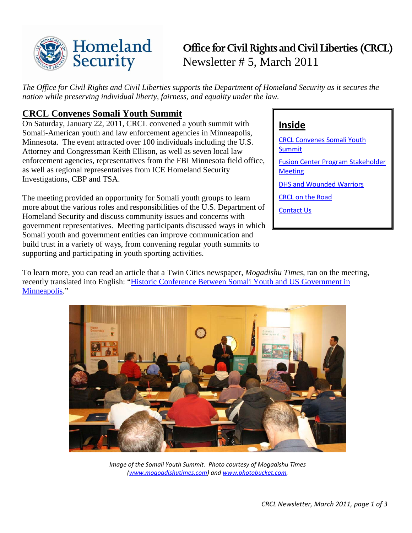

# **Office for Civil Rights and Civil Liberties (CRCL)** Newsletter # 5, March 2011

*The Office for Civil Rights and Civil Liberties supports the Department of Homeland Security as it secures the nation while preserving individual liberty, fairness, and equality under the law.*

## <span id="page-0-0"></span>**CRCL Convenes Somali Youth Summit**

On Saturday, January 22, 2011, CRCL convened a youth summit with Somali-American youth and law enforcement agencies in Minneapolis, Minnesota. The event attracted over 100 individuals including the U.S. Attorney and Congressman Keith Ellison, as well as seven local law enforcement agencies, representatives from the FBI Minnesota field office, as well as regional representatives from ICE Homeland Security Investigations, CBP and TSA.

The meeting provided an opportunity for Somali youth groups to learn more about the various roles and responsibilities of the U.S. Department of Homeland Security and discuss community issues and concerns with government representatives. Meeting participants discussed ways in which Somali youth and government entities can improve communication and build trust in a variety of ways, from convening regular youth summits to supporting and participating in youth sporting activities.

## **Inside**

[CRCL Convenes Somali Youth](#page-0-0)  [Summit](#page-0-0) [Fusion Center Program Stakeholder](#page-1-0)  **[Meeting](#page-1-0)** [DHS and Wounded Warriors](#page-1-1) [CRCL on the Road](#page-2-0) [Contact Us](#page-2-1)

To learn more, you can read an article that a Twin Cities newspaper, *Mogadishu Times,* ran on the meeting, recently translated into English: ["Historic Conference Between Somali Youth and US Government in](http://mogadishutimes.com/index.php?option=com_content&view=article&id=2012:historic-conference-between-somali-youth-and-law-enforcement-officials-in-minneapolis&catid=46:qorshe-cusub)  [Minneapolis.](http://mogadishutimes.com/index.php?option=com_content&view=article&id=2012:historic-conference-between-somali-youth-and-law-enforcement-officials-in-minneapolis&catid=46:qorshe-cusub)"



*Image of the Somali Youth Summit. Photo courtesy of Mogadishu Times [\(www.mogoadishutimes.com\)](http://www.mogoadishutimes.com/) and [www.photobucket.com.](http://www.photobucket.com/)*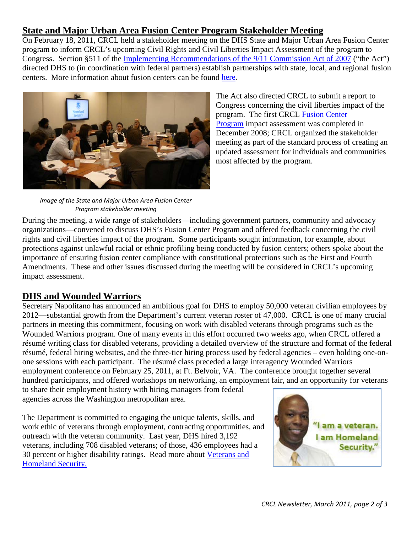## <span id="page-1-0"></span>**State and Major Urban Area Fusion Center Program Stakeholder Meeting**

On February 18, 2011, CRCL held a stakeholder meeting on the DHS State and Major Urban Area Fusion Center program to inform CRCL's upcoming Civil Rights and Civil Liberties Impact Assessment of the program to Congress. Section §511 of the [Implementing Recommendations of the 9/11 Commission Act of 2007](http://thomas.loc.gov/cgi-bin/bdquery/z?d110:h.r.00001:) ("the Act") directed DHS to (in coordination with federal partners) establish partnerships with state, local, and regional fusion centers. More information about fusion centers can be found [here.](http://www.dhs.gov/files/programs/gc_1156877184684.shtm)



*Image of the State and Major Urban Area Fusion Center Program stakeholder meeting*

The Act also directed CRCL to submit a report to Congress concerning the civil liberties impact of the program. The first CRCL [Fusion Center](http://www.dhs.gov/xlibrary/assets/crcl_civil_liberties_impact_assessment_12_11_08.pdf)  [Program](http://www.dhs.gov/xlibrary/assets/crcl_civil_liberties_impact_assessment_12_11_08.pdf) impact assessment was completed in December 2008; CRCL organized the stakeholder meeting as part of the standard process of creating an updated assessment for individuals and communities most affected by the program.

During the meeting, a wide range of stakeholders—including government partners, community and advocacy organizations—convened to discuss DHS's Fusion Center Program and offered feedback concerning the civil rights and civil liberties impact of the program. Some participants sought information, for example, about protections against unlawful racial or ethnic profiling being conducted by fusion centers; others spoke about the importance of ensuring fusion center compliance with constitutional protections such as the First and Fourth Amendments. These and other issues discussed during the meeting will be considered in CRCL's upcoming impact assessment.

## <span id="page-1-1"></span>**DHS and Wounded Warriors**

Secretary Napolitano has announced an ambitious goal for DHS to employ 50,000 veteran civilian employees by 2012—substantial growth from the Department's current veteran roster of 47,000. CRCL is one of many crucial partners in meeting this commitment, focusing on work with disabled veterans through programs such as the Wounded Warriors program. One of many events in this effort occurred two weeks ago, when CRCL offered a résumé writing class for disabled veterans, providing a detailed overview of the structure and format of the federal résumé, federal hiring websites, and the three-tier hiring process used by federal agencies – even holding one-onone sessions with each participant. The résumé class preceded a large interagency Wounded Warriors employment conference on February 25, 2011, at Ft. Belvoir, VA. The conference brought together several hundred participants, and offered workshops on networking, an employment fair, and an opportunity for veterans

to share their employment history with hiring managers from federal agencies across the Washington metropolitan area.

The Department is committed to engaging the unique talents, skills, and work ethic of veterans through employment, contracting opportunities, and outreach with the veteran community. Last year, DHS hired 3,192 veterans, including 708 disabled veterans; of those, 436 employees had a 30 percent or higher disability ratings. Read more about [Veterans and](http://www.dhs.gov/xabout/gc_1255725725969.shtm)  [Homeland Security.](http://www.dhs.gov/xabout/gc_1255725725969.shtm)